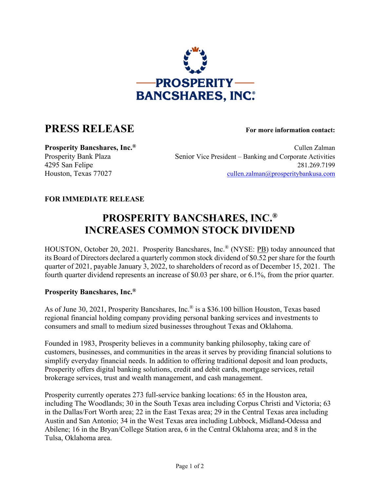

## **PRESS RELEASE For more information contact:**

**Prosperity Bancshares, Inc.<sup>®</sup> Cullen Zalman** Prosperity Bank Plaza Senior Vice President – Banking and Corporate Activities 4295 San Felipe 281.269.7199 Houston, Texas 77027 [cullen.zalman@prosperitybankusa.com](mailto:cullen.zalman@prosperitybankusa.com)

## **FOR IMMEDIATE RELEASE**

## **PROSPERITY BANCSHARES, INC.® INCREASES COMMON STOCK DIVIDEND**

HOUSTON, October 20, 2021. Prosperity Bancshares, Inc.® (NYSE: PB) today announced that its Board of Directors declared a quarterly common stock dividend of \$0.52 per share for the fourth quarter of 2021, payable January 3, 2022, to shareholders of record as of December 15, 2021. The fourth quarter dividend represents an increase of \$0.03 per share, or 6.1%, from the prior quarter.

## **Prosperity Bancshares, Inc.®**

As of June 30, 2021, Prosperity Bancshares, Inc.® is a \$36.100 billion Houston, Texas based regional financial holding company providing personal banking services and investments to consumers and small to medium sized businesses throughout Texas and Oklahoma.

Founded in 1983, Prosperity believes in a community banking philosophy, taking care of customers, businesses, and communities in the areas it serves by providing financial solutions to simplify everyday financial needs. In addition to offering traditional deposit and loan products, Prosperity offers digital banking solutions, credit and debit cards, mortgage services, retail brokerage services, trust and wealth management, and cash management.

Prosperity currently operates 273 full-service banking locations: 65 in the Houston area, including The Woodlands; 30 in the South Texas area including Corpus Christi and Victoria; 63 in the Dallas/Fort Worth area; 22 in the East Texas area; 29 in the Central Texas area including Austin and San Antonio; 34 in the West Texas area including Lubbock, Midland-Odessa and Abilene; 16 in the Bryan/College Station area, 6 in the Central Oklahoma area; and 8 in the Tulsa, Oklahoma area.